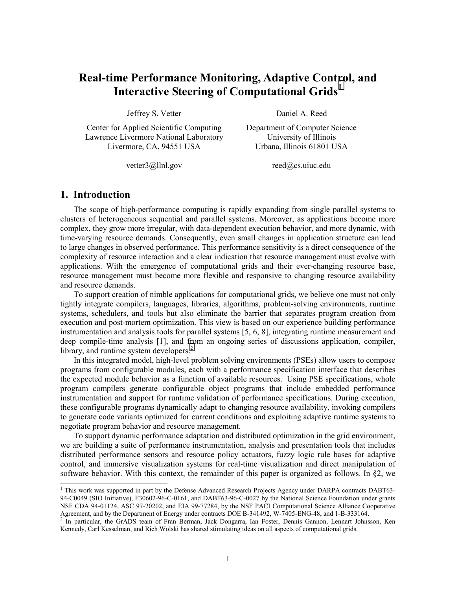# **Real-time Performance Monitoring, Adaptive Control, and Interactive Steering of Computational Grids<sup>1</sup>**

Jeffrey S. Vetter

Center for Applied Scientific Computing Lawrence Livermore National Laboratory Livermore, CA, 94551 USA

Daniel A. Reed

Department of Computer Science University of Illinois Urbana, Illinois 61801 USA

vetter3@llnl.gov

reed@cs.uiuc.edu

# **1. Introduction**

 $\overline{a}$ 

The scope of high-performance computing is rapidly expanding from single parallel systems to clusters of heterogeneous sequential and parallel systems. Moreover, as applications become more complex, they grow more irregular, with data-dependent execution behavior, and more dynamic, with time-varying resource demands. Consequently, even small changes in application structure can lead to large changes in observed performance. This performance sensitivity is a direct consequence of the complexity of resource interaction and a clear indication that resource management must evolve with applications. With the emergence of computational grids and their ever-changing resource base, resource management must become more flexible and responsive to changing resource availability and resource demands.

To support creation of nimble applications for computational grids, we believe one must not only tightly integrate compilers, languages, libraries, algorithms, problem-solving environments, runtime systems, schedulers, and tools but also eliminate the barrier that separates program creation from execution and post-mortem optimization. This view is based on our experience building performance instrumentation and analysis tools for parallel systems [5, 6, 8], integrating runtime measurement and deep compile-time analysis [1], and from an ongoing series of discussions application, compiler, library, and runtime system developers.<sup>2</sup>

In this integrated model, high-level problem solving environments (PSEs) allow users to compose programs from configurable modules, each with a performance specification interface that describes the expected module behavior as a function of available resources. Using PSE specifications, whole program compilers generate configurable object programs that include embedded performance instrumentation and support for runtime validation of performance specifications. During execution, these configurable programs dynamically adapt to changing resource availability, invoking compilers to generate code variants optimized for current conditions and exploiting adaptive runtime systems to negotiate program behavior and resource management.

To support dynamic performance adaptation and distributed optimization in the grid environment, we are building a suite of performance instrumentation, analysis and presentation tools that includes distributed performance sensors and resource policy actuators, fuzzy logic rule bases for adaptive control, and immersive visualization systems for real-time visualization and direct manipulation of software behavior. With this context, the remainder of this paper is organized as follows. In §2, we

<sup>&</sup>lt;sup>1</sup> This work was supported in part by the Defense Advanced Research Projects Agency under DARPA contracts DABT63-94-C0049 (SIO Initiative), F30602-96-C-0161, and DABT63-96-C-0027 by the National Science Foundation under grants NSF CDA 94-01124, ASC 97-20202, and EIA 99-77284, by the NSF PACI Computational Science Alliance Cooperative Agreement, and by the Department of Energy under contracts DOE B-341492, W-7405-ENG-48, and 1-B-333164.

<sup>&</sup>lt;sup>2</sup> In particular, the GrADS team of Fran Berman, Jack Dongarra, Ian Foster, Dennis Gannon, Lennart Johnsson, Ken Kennedy, Carl Kesselman, and Rich Wolski has shared stimulating ideas on all aspects of computational grids.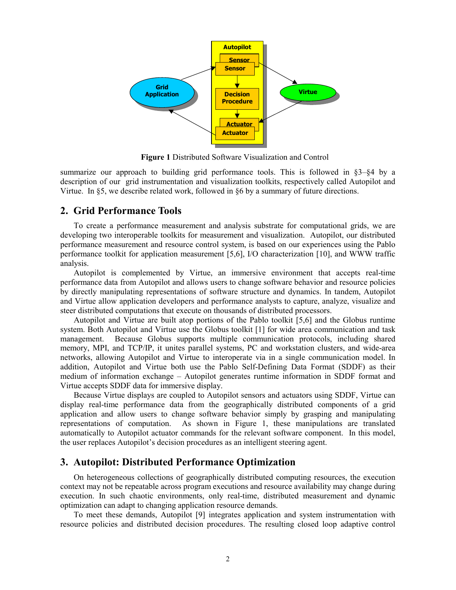

**Figure 1** Distributed Software Visualization and Control

summarize our approach to building grid performance tools. This is followed in §3–§4 by a description of our grid instrumentation and visualization toolkits, respectively called Autopilot and Virtue. In §5, we describe related work, followed in §6 by a summary of future directions.

## **2. Grid Performance Tools**

To create a performance measurement and analysis substrate for computational grids, we are developing two interoperable toolkits for measurement and visualization. Autopilot, our distributed performance measurement and resource control system, is based on our experiences using the Pablo performance toolkit for application measurement [5,6], I/O characterization [10], and WWW traffic analysis.

Autopilot is complemented by Virtue, an immersive environment that accepts real-time performance data from Autopilot and allows users to change software behavior and resource policies by directly manipulating representations of software structure and dynamics. In tandem, Autopilot and Virtue allow application developers and performance analysts to capture, analyze, visualize and steer distributed computations that execute on thousands of distributed processors.

Autopilot and Virtue are built atop portions of the Pablo toolkit [5,6] and the Globus runtime system. Both Autopilot and Virtue use the Globus toolkit [1] for wide area communication and task management. Because Globus supports multiple communication protocols, including shared memory, MPI, and TCP/IP, it unites parallel systems, PC and workstation clusters, and wide-area networks, allowing Autopilot and Virtue to interoperate via in a single communication model. In addition, Autopilot and Virtue both use the Pablo Self-Defining Data Format (SDDF) as their medium of information exchange – Autopilot generates runtime information in SDDF format and Virtue accepts SDDF data for immersive display.

Because Virtue displays are coupled to Autopilot sensors and actuators using SDDF, Virtue can display real-time performance data from the geographically distributed components of a grid application and allow users to change software behavior simply by grasping and manipulating representations of computation. As shown in Figure 1, these manipulations are translated automatically to Autopilot actuator commands for the relevant software component. In this model, the user replaces Autopilot's decision procedures as an intelligent steering agent.

# **3. Autopilot: Distributed Performance Optimization**

On heterogeneous collections of geographically distributed computing resources, the execution context may not be repeatable across program executions and resource availability may change during execution. In such chaotic environments, only real-time, distributed measurement and dynamic optimization can adapt to changing application resource demands.

To meet these demands, Autopilot [9] integrates application and system instrumentation with resource policies and distributed decision procedures. The resulting closed loop adaptive control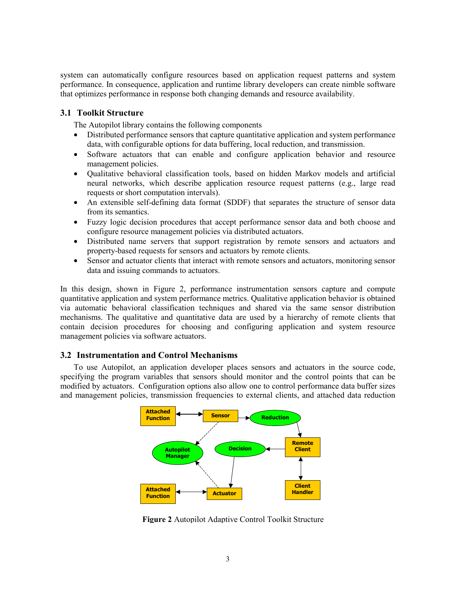system can automatically configure resources based on application request patterns and system performance. In consequence, application and runtime library developers can create nimble software that optimizes performance in response both changing demands and resource availability.

### **3.1 Toolkit Structure**

The Autopilot library contains the following components

- Distributed performance sensors that capture quantitative application and system performance data, with configurable options for data buffering, local reduction, and transmission.
- Software actuators that can enable and configure application behavior and resource management policies.
- Qualitative behavioral classification tools, based on hidden Markov models and artificial neural networks, which describe application resource request patterns (e.g., large read requests or short computation intervals).
- An extensible self-defining data format (SDDF) that separates the structure of sensor data from its semantics.
- Fuzzy logic decision procedures that accept performance sensor data and both choose and configure resource management policies via distributed actuators.
- Distributed name servers that support registration by remote sensors and actuators and property-based requests for sensors and actuators by remote clients.
- Sensor and actuator clients that interact with remote sensors and actuators, monitoring sensor data and issuing commands to actuators.

In this design, shown in Figure 2, performance instrumentation sensors capture and compute quantitative application and system performance metrics. Qualitative application behavior is obtained via automatic behavioral classification techniques and shared via the same sensor distribution mechanisms. The qualitative and quantitative data are used by a hierarchy of remote clients that contain decision procedures for choosing and configuring application and system resource management policies via software actuators.

### **3.2 Instrumentation and Control Mechanisms**

To use Autopilot, an application developer places sensors and actuators in the source code, specifying the program variables that sensors should monitor and the control points that can be modified by actuators. Configuration options also allow one to control performance data buffer sizes and management policies, transmission frequencies to external clients, and attached data reduction



**Figure 2** Autopilot Adaptive Control Toolkit Structure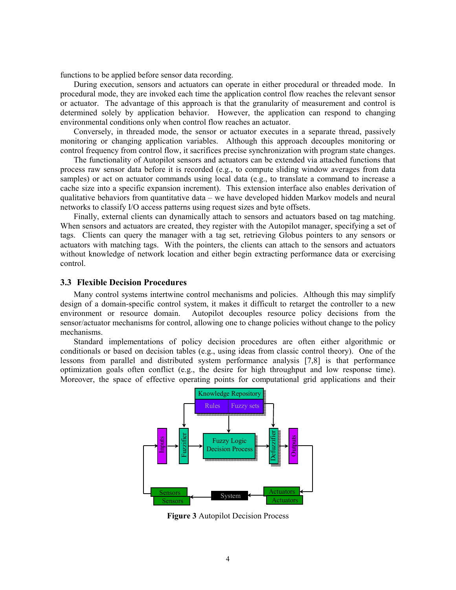functions to be applied before sensor data recording.

During execution, sensors and actuators can operate in either procedural or threaded mode. In procedural mode, they are invoked each time the application control flow reaches the relevant sensor or actuator. The advantage of this approach is that the granularity of measurement and control is determined solely by application behavior. However, the application can respond to changing environmental conditions only when control flow reaches an actuator.

Conversely, in threaded mode, the sensor or actuator executes in a separate thread, passively monitoring or changing application variables. Although this approach decouples monitoring or control frequency from control flow, it sacrifices precise synchronization with program state changes.

The functionality of Autopilot sensors and actuators can be extended via attached functions that process raw sensor data before it is recorded (e.g., to compute sliding window averages from data samples) or act on actuator commands using local data (e.g., to translate a command to increase a cache size into a specific expansion increment). This extension interface also enables derivation of qualitative behaviors from quantitative data – we have developed hidden Markov models and neural networks to classify I/O access patterns using request sizes and byte offsets.

Finally, external clients can dynamically attach to sensors and actuators based on tag matching. When sensors and actuators are created, they register with the Autopilot manager, specifying a set of tags. Clients can query the manager with a tag set, retrieving Globus pointers to any sensors or actuators with matching tags. With the pointers, the clients can attach to the sensors and actuators without knowledge of network location and either begin extracting performance data or exercising control.

#### **3.3 Flexible Decision Procedures**

Many control systems intertwine control mechanisms and policies. Although this may simplify design of a domain-specific control system, it makes it difficult to retarget the controller to a new environment or resource domain. Autopilot decouples resource policy decisions from the sensor/actuator mechanisms for control, allowing one to change policies without change to the policy mechanisms.

Standard implementations of policy decision procedures are often either algorithmic or conditionals or based on decision tables (e.g., using ideas from classic control theory). One of the lessons from parallel and distributed system performance analysis [7,8] is that performance optimization goals often conflict (e.g., the desire for high throughput and low response time). Moreover, the space of effective operating points for computational grid applications and their



**Figure 3** Autopilot Decision Process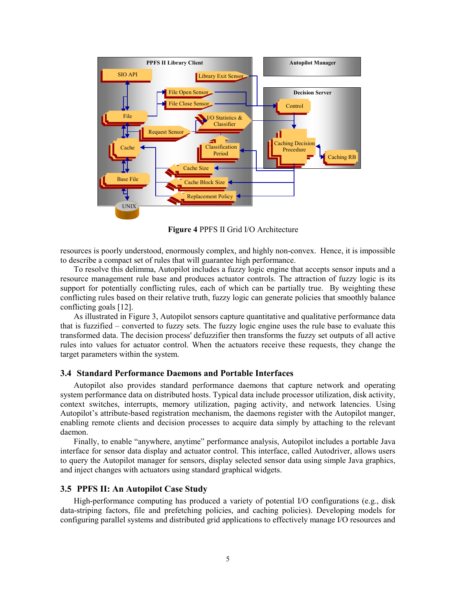

**Figure 4** PPFS II Grid I/O Architecture

resources is poorly understood, enormously complex, and highly non-convex. Hence, it is impossible to describe a compact set of rules that will guarantee high performance.

To resolve this delimma, Autopilot includes a fuzzy logic engine that accepts sensor inputs and a resource management rule base and produces actuator controls. The attraction of fuzzy logic is its support for potentially conflicting rules, each of which can be partially true. By weighting these conflicting rules based on their relative truth, fuzzy logic can generate policies that smoothly balance conflicting goals [12].

As illustrated in Figure 3, Autopilot sensors capture quantitative and qualitative performance data that is fuzzified – converted to fuzzy sets. The fuzzy logic engine uses the rule base to evaluate this transformed data. The decision process' defuzzifier then transforms the fuzzy set outputs of all active rules into values for actuator control. When the actuators receive these requests, they change the target parameters within the system.

#### **3.4 Standard Performance Daemons and Portable Interfaces**

Autopilot also provides standard performance daemons that capture network and operating system performance data on distributed hosts. Typical data include processor utilization, disk activity, context switches, interrupts, memory utilization, paging activity, and network latencies. Using Autopilot's attribute-based registration mechanism, the daemons register with the Autopilot manger, enabling remote clients and decision processes to acquire data simply by attaching to the relevant daemon.

Finally, to enable "anywhere, anytime" performance analysis, Autopilot includes a portable Java interface for sensor data display and actuator control. This interface, called Autodriver, allows users to query the Autopilot manager for sensors, display selected sensor data using simple Java graphics, and inject changes with actuators using standard graphical widgets.

#### **3.5 PPFS II: An Autopilot Case Study**

High-performance computing has produced a variety of potential I/O configurations (e.g., disk data-striping factors, file and prefetching policies, and caching policies). Developing models for configuring parallel systems and distributed grid applications to effectively manage I/O resources and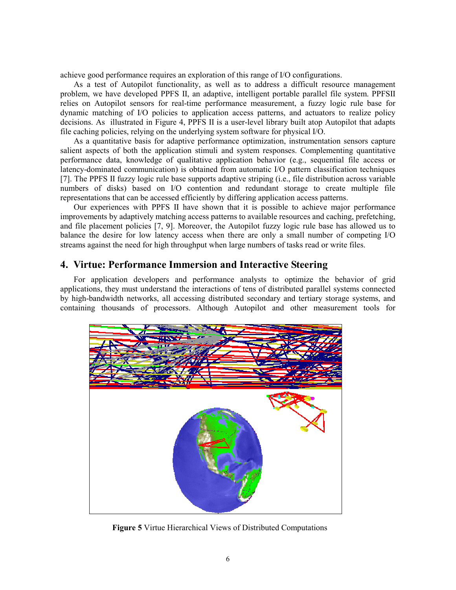achieve good performance requires an exploration of this range of I/O configurations.

As a test of Autopilot functionality, as well as to address a difficult resource management problem, we have developed PPFS II, an adaptive, intelligent portable parallel file system. PPFSII relies on Autopilot sensors for real-time performance measurement, a fuzzy logic rule base for dynamic matching of I/O policies to application access patterns, and actuators to realize policy decisions. As illustrated in Figure 4, PPFS II is a user-level library built atop Autopilot that adapts file caching policies, relying on the underlying system software for physical I/O.

As a quantitative basis for adaptive performance optimization, instrumentation sensors capture salient aspects of both the application stimuli and system responses. Complementing quantitative performance data, knowledge of qualitative application behavior (e.g., sequential file access or latency-dominated communication) is obtained from automatic I/O pattern classification techniques [7]. The PPFS II fuzzy logic rule base supports adaptive striping (i.e., file distribution across variable numbers of disks) based on I/O contention and redundant storage to create multiple file representations that can be accessed efficiently by differing application access patterns.

Our experiences with PPFS II have shown that it is possible to achieve major performance improvements by adaptively matching access patterns to available resources and caching, prefetching, and file placement policies [7, 9]. Moreover, the Autopilot fuzzy logic rule base has allowed us to balance the desire for low latency access when there are only a small number of competing I/O streams against the need for high throughput when large numbers of tasks read or write files.

## **4. Virtue: Performance Immersion and Interactive Steering**

For application developers and performance analysts to optimize the behavior of grid applications, they must understand the interactions of tens of distributed parallel systems connected by high-bandwidth networks, all accessing distributed secondary and tertiary storage systems, and containing thousands of processors. Although Autopilot and other measurement tools for



**Figure 5** Virtue Hierarchical Views of Distributed Computations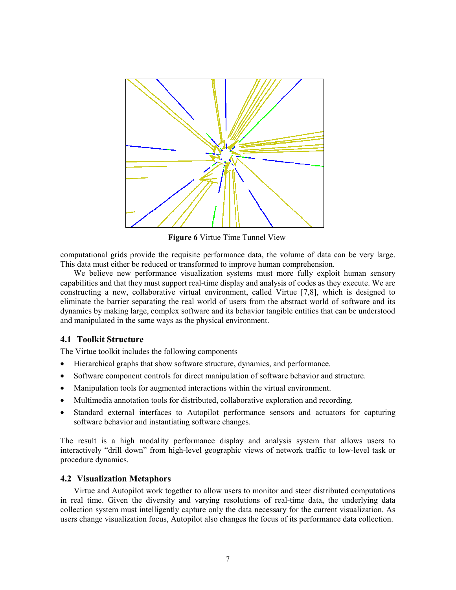

**Figure 6** Virtue Time Tunnel View

computational grids provide the requisite performance data, the volume of data can be very large. This data must either be reduced or transformed to improve human comprehension.

We believe new performance visualization systems must more fully exploit human sensory capabilities and that they must support real-time display and analysis of codes as they execute. We are constructing a new, collaborative virtual environment, called Virtue [7,8], which is designed to eliminate the barrier separating the real world of users from the abstract world of software and its dynamics by making large, complex software and its behavior tangible entities that can be understood and manipulated in the same ways as the physical environment.

### **4.1 Toolkit Structure**

The Virtue toolkit includes the following components

- Hierarchical graphs that show software structure, dynamics, and performance.
- Software component controls for direct manipulation of software behavior and structure.
- Manipulation tools for augmented interactions within the virtual environment.
- Multimedia annotation tools for distributed, collaborative exploration and recording.
- Standard external interfaces to Autopilot performance sensors and actuators for capturing software behavior and instantiating software changes.

The result is a high modality performance display and analysis system that allows users to interactively "drill down" from high-level geographic views of network traffic to low-level task or procedure dynamics.

### **4.2 Visualization Metaphors**

Virtue and Autopilot work together to allow users to monitor and steer distributed computations in real time. Given the diversity and varying resolutions of real-time data, the underlying data collection system must intelligently capture only the data necessary for the current visualization. As users change visualization focus, Autopilot also changes the focus of its performance data collection.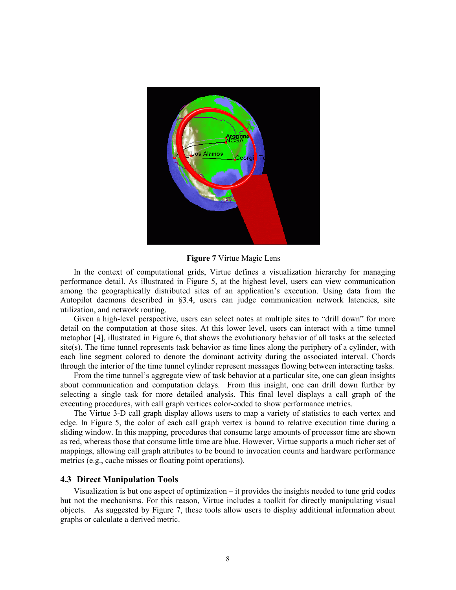

**Figure 7** Virtue Magic Lens

In the context of computational grids, Virtue defines a visualization hierarchy for managing performance detail. As illustrated in Figure 5, at the highest level, users can view communication among the geographically distributed sites of an application's execution. Using data from the Autopilot daemons described in §3.4, users can judge communication network latencies, site utilization, and network routing.

Given a high-level perspective, users can select notes at multiple sites to "drill down" for more detail on the computation at those sites. At this lower level, users can interact with a time tunnel metaphor [4], illustrated in Figure 6, that shows the evolutionary behavior of all tasks at the selected site(s). The time tunnel represents task behavior as time lines along the periphery of a cylinder, with each line segment colored to denote the dominant activity during the associated interval. Chords through the interior of the time tunnel cylinder represent messages flowing between interacting tasks.

From the time tunnel's aggregate view of task behavior at a particular site, one can glean insights about communication and computation delays. From this insight, one can drill down further by selecting a single task for more detailed analysis. This final level displays a call graph of the executing procedures, with call graph vertices color-coded to show performance metrics.

The Virtue 3-D call graph display allows users to map a variety of statistics to each vertex and edge. In Figure 5, the color of each call graph vertex is bound to relative execution time during a sliding window. In this mapping, procedures that consume large amounts of processor time are shown as red, whereas those that consume little time are blue. However, Virtue supports a much richer set of mappings, allowing call graph attributes to be bound to invocation counts and hardware performance metrics (e.g., cache misses or floating point operations).

#### **4.3 Direct Manipulation Tools**

Visualization is but one aspect of optimization – it provides the insights needed to tune grid codes but not the mechanisms. For this reason, Virtue includes a toolkit for directly manipulating visual objects. As suggested by Figure 7, these tools allow users to display additional information about graphs or calculate a derived metric.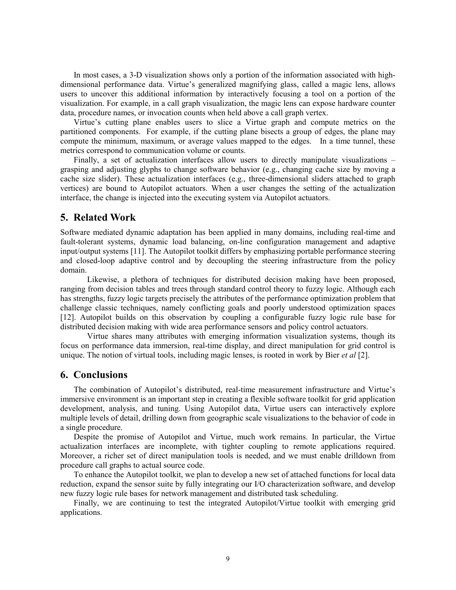In most cases, a 3-D visualization shows only a portion of the information associated with highdimensional performance data. Virtue's generalized magnifying glass, called a magic lens, allows users to uncover this additional information by interactively focusing a tool on a portion of the visualization. For example, in a call graph visualization, the magic lens can expose hardware counter data, procedure names, or invocation counts when held above a call graph vertex.

Virtue's cutting plane enables users to slice a Virtue graph and compute metrics on the partitioned components. For example, if the cutting plane bisects a group of edges, the plane may compute the minimum, maximum, or average values mapped to the edges. In a time tunnel, these metrics correspond to communication volume or counts.

Finally, a set of actualization interfaces allow users to directly manipulate visualizations – grasping and adjusting glyphs to change software behavior (e.g., changing cache size by moving a cache size slider). These actualization interfaces (e.g., three-dimensional sliders attached to graph vertices) are bound to Autopilot actuators. When a user changes the setting of the actualization interface, the change is injected into the executing system via Autopilot actuators.

# **5. Related Work**

Software mediated dynamic adaptation has been applied in many domains, including real-time and fault-tolerant systems, dynamic load balancing, on-line configuration management and adaptive input/output systems [11]. The Autopilot toolkit differs by emphasizing portable performance steering and closed-loop adaptive control and by decoupling the steering infrastructure from the policy domain.

Likewise, a plethora of techniques for distributed decision making have been proposed, ranging from decision tables and trees through standard control theory to fuzzy logic. Although each has strengths, fuzzy logic targets precisely the attributes of the performance optimization problem that challenge classic techniques, namely conflicting goals and poorly understood optimization spaces [12]. Autopilot builds on this observation by coupling a configurable fuzzy logic rule base for distributed decision making with wide area performance sensors and policy control actuators.

Virtue shares many attributes with emerging information visualization systems, though its focus on performance data immersion, real-time display, and direct manipulation for grid control is unique. The notion of virtual tools, including magic lenses, is rooted in work by Bier *et al* [2].

### **6. Conclusions**

The combination of Autopilot's distributed, real-time measurement infrastructure and Virtue's immersive environment is an important step in creating a flexible software toolkit for grid application development, analysis, and tuning. Using Autopilot data, Virtue users can interactively explore multiple levels of detail, drilling down from geographic scale visualizations to the behavior of code in a single procedure.

Despite the promise of Autopilot and Virtue, much work remains. In particular, the Virtue actualization interfaces are incomplete, with tighter coupling to remote applications required. Moreover, a richer set of direct manipulation tools is needed, and we must enable drilldown from procedure call graphs to actual source code.

To enhance the Autopilot toolkit, we plan to develop a new set of attached functions for local data reduction, expand the sensor suite by fully integrating our I/O characterization software, and develop new fuzzy logic rule bases for network management and distributed task scheduling.

Finally, we are continuing to test the integrated Autopilot/Virtue toolkit with emerging grid applications.